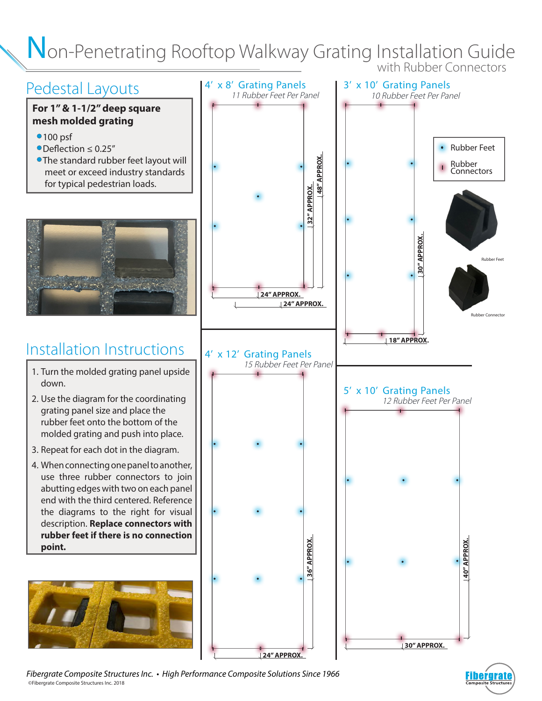### Non-Penetrating Rooftop Walkway Grating Installation Guide with Rubber Connectors

## Pedestal Layouts

#### **For 1" & 1-1/2" deep square mesh molded grating**

- 100 psf
- Deflection ≤ 0.25"
- The standard rubber feet layout will meet or exceed industry standards for typical pedestrian loads.



# Installation Instructions

- 1. Turn the molded grating panel upside down.
- 2. Use the diagram for the coordinating grating panel size and place the rubber feet onto the bottom of the molded grating and push into place.
- 3. Repeat for each dot in the diagram.
- 4. When connecting one panel to another, use three rubber connectors to join abutting edges with two on each panel end with the third centered. Reference the diagrams to the right for visual description. **Replace connectors with rubber feet if there is no connection point.**





©Fibergrate Composite Structures Inc. 2018 *Fibergrate Composite Structures Inc. • High Performance Composite Solutions Since 1966*